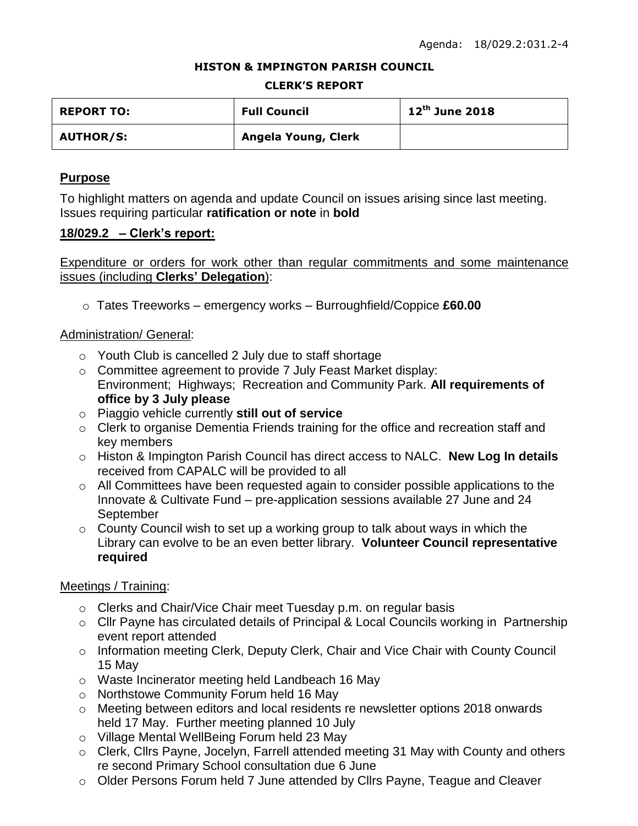#### **HISTON & IMPINGTON PARISH COUNCIL**

#### **CLERK'S REPORT**

| <b>REPORT TO:</b> | <b>Full Council</b> | $12^{th}$ June 2018 |
|-------------------|---------------------|---------------------|
| <b>AUTHOR/S:</b>  | Angela Young, Clerk |                     |

## **Purpose**

To highlight matters on agenda and update Council on issues arising since last meeting. Issues requiring particular **ratification or note** in **bold**

## **18/029.2 – Clerk's report:**

Expenditure or orders for work other than regular commitments and some maintenance issues (including **Clerks' Delegation**):

o Tates Treeworks – emergency works – Burroughfield/Coppice **£60.00**

## Administration/ General:

- o Youth Club is cancelled 2 July due to staff shortage
- o Committee agreement to provide 7 July Feast Market display: Environment; Highways; Recreation and Community Park. **All requirements of office by 3 July please**
- o Piaggio vehicle currently **still out of service**
- o Clerk to organise Dementia Friends training for the office and recreation staff and key members
- o Histon & Impington Parish Council has direct access to NALC. **New Log In details** received from CAPALC will be provided to all
- o All Committees have been requested again to consider possible applications to the Innovate & Cultivate Fund – pre-application sessions available 27 June and 24 September
- o County Council wish to set up a working group to talk about ways in which the Library can evolve to be an even better library. **Volunteer Council representative required**

## Meetings / Training:

- o Clerks and Chair/Vice Chair meet Tuesday p.m. on regular basis
- o Cllr Payne has circulated details of Principal & Local Councils working in Partnership event report attended
- o Information meeting Clerk, Deputy Clerk, Chair and Vice Chair with County Council 15 May
- o Waste Incinerator meeting held Landbeach 16 May
- o Northstowe Community Forum held 16 May
- o Meeting between editors and local residents re newsletter options 2018 onwards held 17 May. Further meeting planned 10 July
- o Village Mental WellBeing Forum held 23 May
- o Clerk, Cllrs Payne, Jocelyn, Farrell attended meeting 31 May with County and others re second Primary School consultation due 6 June
- o Older Persons Forum held 7 June attended by Cllrs Payne, Teague and Cleaver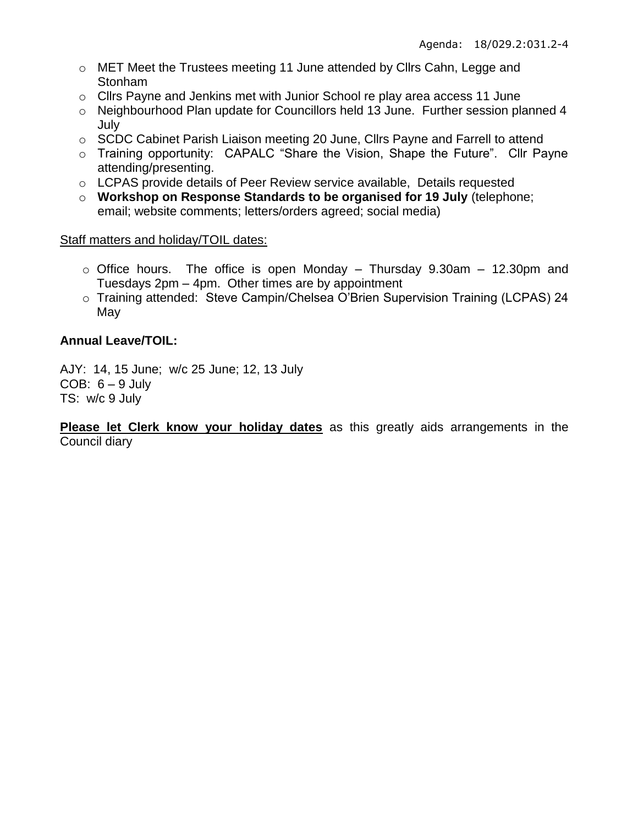- o MET Meet the Trustees meeting 11 June attended by Cllrs Cahn, Legge and Stonham
- o Cllrs Payne and Jenkins met with Junior School re play area access 11 June
- o Neighbourhood Plan update for Councillors held 13 June. Further session planned 4 July
- o SCDC Cabinet Parish Liaison meeting 20 June, Cllrs Payne and Farrell to attend
- o Training opportunity: CAPALC "Share the Vision, Shape the Future". Cllr Payne attending/presenting.
- o LCPAS provide details of Peer Review service available, Details requested
- o **Workshop on Response Standards to be organised for 19 July** (telephone; email; website comments; letters/orders agreed; social media)

# Staff matters and holiday/TOIL dates:

- $\circ$  Office hours. The office is open Monday Thursday 9.30am 12.30pm and Tuesdays 2pm – 4pm. Other times are by appointment
- o Training attended: Steve Campin/Chelsea O'Brien Supervision Training (LCPAS) 24 May

# **Annual Leave/TOIL:**

AJY: 14, 15 June; w/c 25 June; 12, 13 July COB:  $6 - 9$  July TS: w/c 9 July

**Please let Clerk know your holiday dates** as this greatly aids arrangements in the Council diary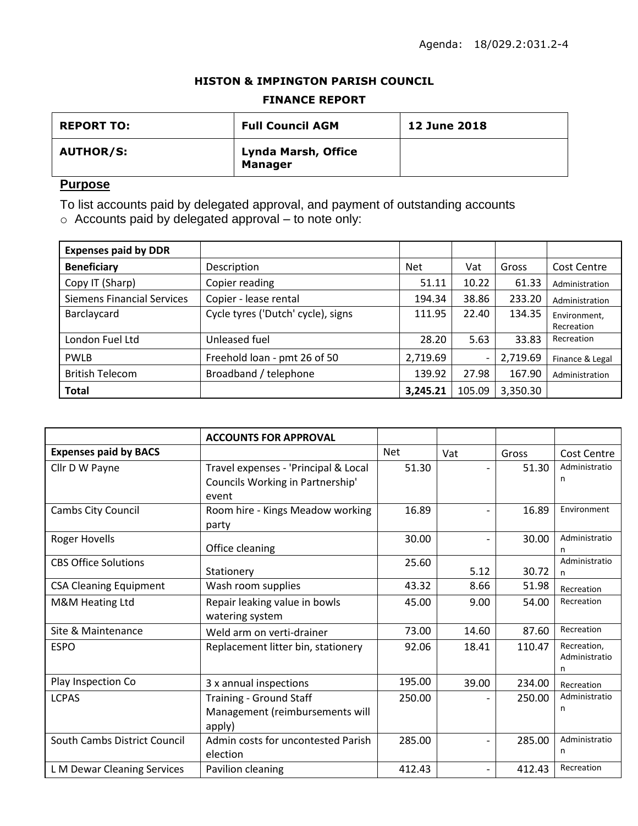### **HISTON & IMPINGTON PARISH COUNCIL**

### **FINANCE REPORT**

| <b>REPORT TO:</b> | <b>Full Council AGM</b>               | <b>12 June 2018</b> |
|-------------------|---------------------------------------|---------------------|
| <b>AUTHOR/S:</b>  | Lynda Marsh, Office<br><b>Manager</b> |                     |

## **Purpose**

To list accounts paid by delegated approval, and payment of outstanding accounts

 $\circ$  Accounts paid by delegated approval – to note only:

| <b>Expenses paid by DDR</b>       |                                    |            |        |          |                 |
|-----------------------------------|------------------------------------|------------|--------|----------|-----------------|
| <b>Beneficiary</b>                | Description                        | <b>Net</b> | Vat    | Gross    | Cost Centre     |
| Copy IT (Sharp)                   | Copier reading                     | 51.11      | 10.22  | 61.33    | Administration  |
| <b>Siemens Financial Services</b> | Copier - lease rental              | 194.34     | 38.86  | 233.20   | Administration  |
| Barclaycard                       | Cycle tyres ('Dutch' cycle), signs | 111.95     | 22.40  | 134.35   | Environment.    |
|                                   |                                    |            |        |          | Recreation      |
| London Fuel Ltd                   | Unleased fuel                      | 28.20      | 5.63   | 33.83    | Recreation      |
| <b>PWLB</b>                       | Freehold loan - pmt 26 of 50       | 2,719.69   |        | 2,719.69 | Finance & Legal |
| <b>British Telecom</b>            | Broadband / telephone              | 139.92     | 27.98  | 167.90   | Administration  |
| <b>Total</b>                      |                                    | 3,245.21   | 105.09 | 3,350.30 |                 |

|                               | <b>ACCOUNTS FOR APPROVAL</b>                                                      |        |       |        |                                   |
|-------------------------------|-----------------------------------------------------------------------------------|--------|-------|--------|-----------------------------------|
| <b>Expenses paid by BACS</b>  |                                                                                   | Net    | Vat   | Gross  | Cost Centre                       |
| Cllr D W Payne                | Travel expenses - 'Principal & Local<br>Councils Working in Partnership'<br>event | 51.30  |       | 51.30  | Administratio<br>n                |
| Cambs City Council            | Room hire - Kings Meadow working<br>party                                         | 16.89  |       | 16.89  | Environment                       |
| <b>Roger Hovells</b>          | Office cleaning                                                                   | 30.00  |       | 30.00  | Administratio<br>n                |
| <b>CBS Office Solutions</b>   | Stationery                                                                        | 25.60  | 5.12  | 30.72  | Administratio<br>n                |
| <b>CSA Cleaning Equipment</b> | Wash room supplies                                                                | 43.32  | 8.66  | 51.98  | Recreation                        |
| M&M Heating Ltd               | Repair leaking value in bowls<br>watering system                                  | 45.00  | 9.00  | 54.00  | Recreation                        |
| Site & Maintenance            | Weld arm on verti-drainer                                                         | 73.00  | 14.60 | 87.60  | Recreation                        |
| <b>ESPO</b>                   | Replacement litter bin, stationery                                                | 92.06  | 18.41 | 110.47 | Recreation,<br>Administratio<br>n |
| Play Inspection Co            | 3 x annual inspections                                                            | 195.00 | 39.00 | 234.00 | Recreation                        |
| <b>LCPAS</b>                  | Training - Ground Staff<br>Management (reimbursements will<br>apply)              | 250.00 |       | 250.00 | Administratio<br>n                |
| South Cambs District Council  | Admin costs for uncontested Parish<br>election                                    | 285.00 |       | 285.00 | Administratio<br>n                |
| L M Dewar Cleaning Services   | Pavilion cleaning                                                                 | 412.43 |       | 412.43 | Recreation                        |